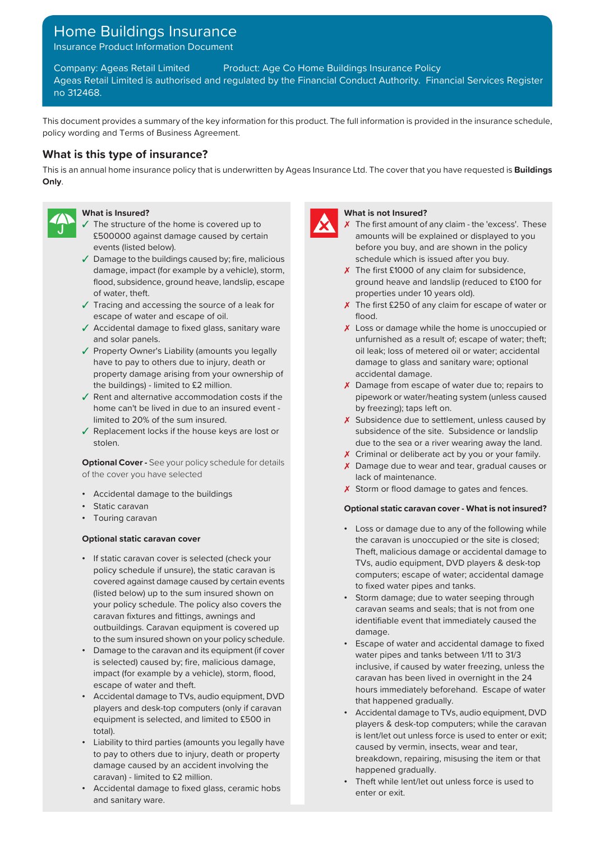# Home Buildings Insurance

Insurance Product Information Document

Company: Ageas Retail Limited Product: Age Co Home Buildings Insurance Policy Ageas Retail Limited is authorised and regulated by the Financial Conduct Authority. Financial Services Register no 312468.

This document provides a summary of the key information for this product. The full information is provided in the insurance schedule, policy wording and Terms of Business Agreement.

# **What is this type of insurance?**

This is an annual home insurance policy that is underwritten by Ageas Insurance Ltd. The cover that you have requested is **Buildings Only**.



- ✓ The structure of the home is covered up to ✗ £500000 against damage caused by certain events (listed below).
- ✓ Damage to the buildings caused by; fire, malicious schedule which is issued after you buy. damage, impact (for example by a vehicle), storm,  $\overline{X}$  The first £1000 of any claim for subsidence, flood, subsidence, ground heave, landslip, escape of water, theft.
- ✓ Tracing and accessing the source of a leak for ✗ escape of water and escape of oil.
- $\sqrt{\phantom{a}}$  Accidental damage to fixed glass, sanitary ware and solar panels.
- ✓ Property Owner's Liability (amounts you legally oil leak; loss of metered oil or water; accidental have to pay to others due to injury, death or damage to glass and sanitary ware; optional property damage arising from your ownership of accidental damage.
- ✓ Rent and alternative accommodation costs if the home can't be lived in due to an insured event -
- ✓ Replacement locks if the house keys are lost or stolen.

**Optional Cover -** See your policy schedule for details of the cover you have selected

- Accidental damage to the buildings
- 
- Touring caravan

- If static caravan cover is selected (check your policy schedule if unsure), the static caravan is to fixed water pipes and tanks. covered against damage caused by certain events to fixed water pipes and tanks. (listed below) up to the sum insured shown on your policy schedule. The policy also covers the the seals of the seals of the seals in the seals of the caravan fixtures and fittings, awnings and seals are seals and the immediately equal that immediately equal the outbuildings. Caravan equipment is covered up damage. to the sum insured shown on your policy schedule.
- Damage to the caravan and its equipment (if cover<br>is selected) caused by; fire, malicious damage.<br>is selected and tanks between 1/11 to 31/3 impact (for example by a vehicle), storm, flood, escape of water and theft.
- Accidental damage to TVs, audio equipment, DVD that happened gradually. players and desk-top computers (only if caravan
- Liability to third parties (amounts you legally have the caused by vermin, insects, wear and tear, Caused by vermin, insects, wear and tear, Caused by vermin, insects, wear and tear, Caused by vermin, insects, wear damage caused by an accident involving the the thancaravan) - limited to £2 million.
- Accidental damage to fixed glass, ceramic hobs enter or exit. and sanitary ware.



#### **What is Insured? What is not Insured?**

- The first amount of any claim the 'excess'. These amounts will be explained or displayed to you before you buy, and are shown in the policy
- ground heave and landslip (reduced to £100 for properties under 10 years old).
- $\times$  The first £250 of any claim for escape of water or flood.
- ✓ ✗ Loss or damage while the home is unoccupied or unfurnished as a result of; escape of water; theft;
- the buildings) limited to £2 million.  $\boldsymbol{\lambda}$  Damage from escape of water due to; repairs to pipework or water/heating system (unless caused by freezing); taps left on.
- limited to 20% of the sum insured.  $\boldsymbol{\chi}$  Subsidence due to settlement, unless caused by subsidence of the site. Subsidence or landslip due to the sea or a river wearing away the land.
	- X Criminal or deliberate act by you or your family.
	- X Damage due to wear and tear, gradual causes or lack of maintenance.
	- X Storm or flood damage to gates and fences.

## **•** Static caravan **and insured?** • Static caravan cover - What is not insured?

- Loss or damage due to any of the following while **Optional static caravan cover** the caravan is unoccupied or the site is closed; Theft, malicious damage or accidental damage to TVs, audio equipment, DVD players & desk-top computers; escape of water; accidental damage
	- Storm damage; due to water seeping through identifiable event that immediately caused the
	- Escape of water and accidental damage to fixed inclusive, if caused by water freezing, unless the caravan has been lived in overnight in the 24 hours immediately beforehand. Escape of water
	- Accidental damage to TVs, audio equipment, DVD equipment is selected, and limited to £500 in<br>total). players & desk-top computers; while the caravan<br>total). is lent/let out unless force is used to enter or exit; breakdown, repairing, misusing the item or that
		- Theft while lent/let out unless force is used to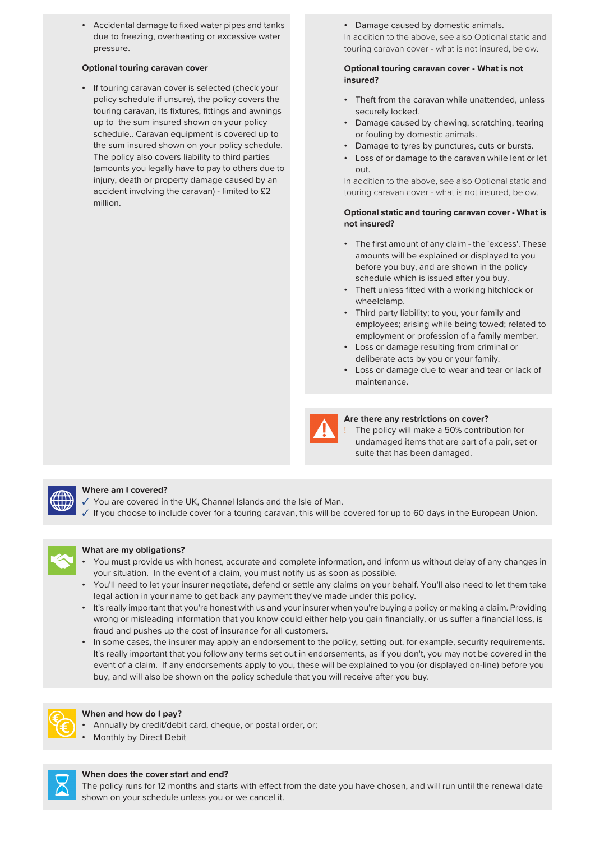• Accidental damage to fixed water pipes and tanks • Damage caused by domestic animals. due to freezing, overheating or excessive water pressure.

• If touring caravan cover is selected (check your touring caravan, its fixtures, fittings and awnings securely locked. schedule.. Caravan equipment is covered up to or fouling by domestic animals. the sum insured shown on your policy schedule. • Damage to tyres by punctures, cuts or bursts. (amounts you legally have to pay to others due to out.<br>injury, death or property damage caused by an l addi accident involving the caravan) - limited to £2 touring caravan cover - what is not insured, below. million.

In addition to the above, see also Optional static and touring caravan cover - what is not insured, below.

### **Optional touring caravan cover Optional touring caravan cover - What is not insured?**

- policy schedule if unsure), the policy covers the Theft from the caravan while unattended, unless
- up to the sum insured shown on your policy Damage caused by chewing, scratching, tearing
	-
- The policy also covers liability to third parties Loss of or damage to the caravan while lent or let

In addition to the above, see also Optional static and

#### **Optional static and touring caravan cover - What is not insured?**

- The first amount of any claim the 'excess'. These amounts will be explained or displayed to you before you buy, and are shown in the policy schedule which is issued after you buy.
- Theft unless fitted with a working hitchlock or wheelclamp.
- Third party liability; to you, your family and employees; arising while being towed; related to employment or profession of a family member.
- Loss or damage resulting from criminal or deliberate acts by you or your family.
- Loss or damage due to wear and tear or lack of maintenance.



### **Are there any restrictions on cover?**

The policy will make a 50% contribution for undamaged items that are part of a pair, set or suite that has been damaged.



#### **Where am I covered?**

You are covered in the UK, Channel Islands and the Isle of Man.

✓ If you choose to include cover for a touring caravan, this will be covered for up to 60 days in the European Union.



### **What are my obligations?**

- You must provide us with honest, accurate and complete information, and inform us without delay of any changes in your situation. In the event of a claim, you must notify us as soon as possible.
- You'll need to let your insurer negotiate, defend or settle any claims on your behalf. You'll also need to let them take legal action in your name to get back any payment they've made under this policy.
- It's really important that you're honest with us and your insurer when you're buying a policy or making a claim. Providing wrong or misleading information that you know could either help you gain financially, or us suffer a financial loss, is fraud and pushes up the cost of insurance for all customers.
- In some cases, the insurer may apply an endorsement to the policy, setting out, for example, security requirements. It's really important that you follow any terms set out in endorsements, as if you don't, you may not be covered in the event of a claim. If any endorsements apply to you, these will be explained to you (or displayed on-line) before you buy, and will also be shown on the policy schedule that you will receive after you buy.



#### **When and how do I pay?**

- Annually by credit/debit card, cheque, or postal order, or;
- Monthly by Direct Debit



#### **When does the cover start and end?**

The policy runs for 12 months and starts with effect from the date you have chosen, and will run until the renewal date shown on your schedule unless you or we cancel it.